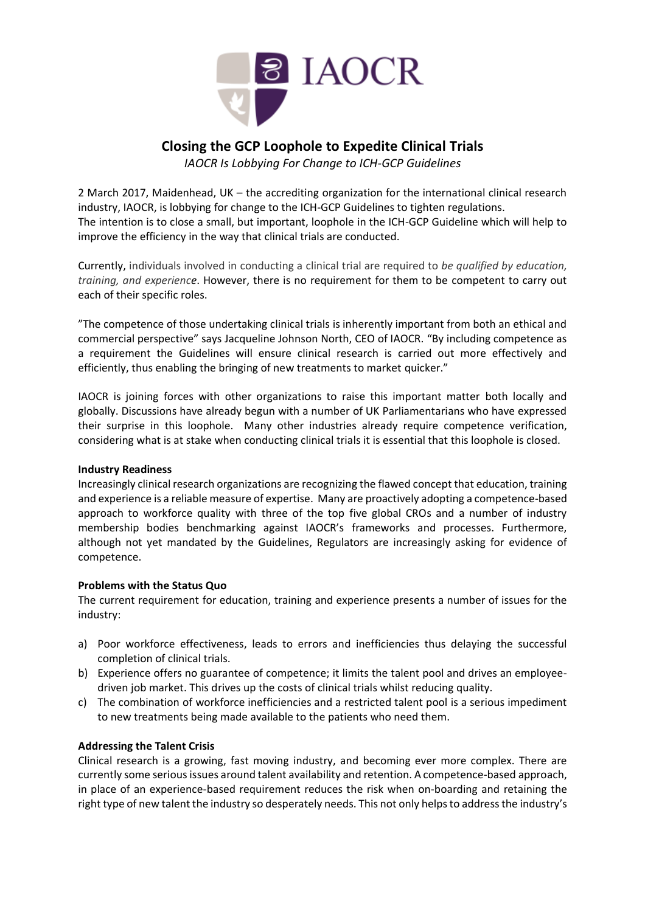

# **Closing the GCP Loophole to Expedite Clinical Trials**

*IAOCR Is Lobbying For Change to ICH-GCP Guidelines*

2 March 2017, Maidenhead, UK – the accrediting organization for the international clinical research industry, IAOCR, is lobbying for change to the ICH-GCP Guidelines to tighten regulations. The intention is to close a small, but important, loophole in the ICH-GCP Guideline which will help to improve the efficiency in the way that clinical trials are conducted.

Currently, individuals involved in conducting a clinical trial are required to *be qualified by education, training, and experience*. However, there is no requirement for them to be competent to carry out each of their specific roles.

"The competence of those undertaking clinical trials is inherently important from both an ethical and commercial perspective" says Jacqueline Johnson North, CEO of IAOCR. "By including competence as a requirement the Guidelines will ensure clinical research is carried out more effectively and efficiently, thus enabling the bringing of new treatments to market quicker."

IAOCR is joining forces with other organizations to raise this important matter both locally and globally. Discussions have already begun with a number of UK Parliamentarians who have expressed their surprise in this loophole. Many other industries already require competence verification, considering what is at stake when conducting clinical trials it is essential that this loophole is closed.

### **Industry Readiness**

Increasingly clinical research organizations are recognizing the flawed concept that education, training and experience is a reliable measure of expertise. Many are proactively adopting a competence-based approach to workforce quality with three of the top five global CROs and a number of industry membership bodies benchmarking against IAOCR's frameworks and processes. Furthermore, although not yet mandated by the Guidelines, Regulators are increasingly asking for evidence of competence.

## **Problems with the Status Quo**

The current requirement for education, training and experience presents a number of issues for the industry:

- a) Poor workforce effectiveness, leads to errors and inefficiencies thus delaying the successful completion of clinical trials.
- b) Experience offers no guarantee of competence; it limits the talent pool and drives an employeedriven job market. This drives up the costs of clinical trials whilst reducing quality.
- c) The combination of workforce inefficiencies and a restricted talent pool is a serious impediment to new treatments being made available to the patients who need them.

## **Addressing the Talent Crisis**

Clinical research is a growing, fast moving industry, and becoming ever more complex. There are currently some serious issues around talent availability and retention. A competence-based approach, in place of an experience-based requirement reduces the risk when on-boarding and retaining the right type of new talent the industry so desperately needs. This not only helps to address the industry's